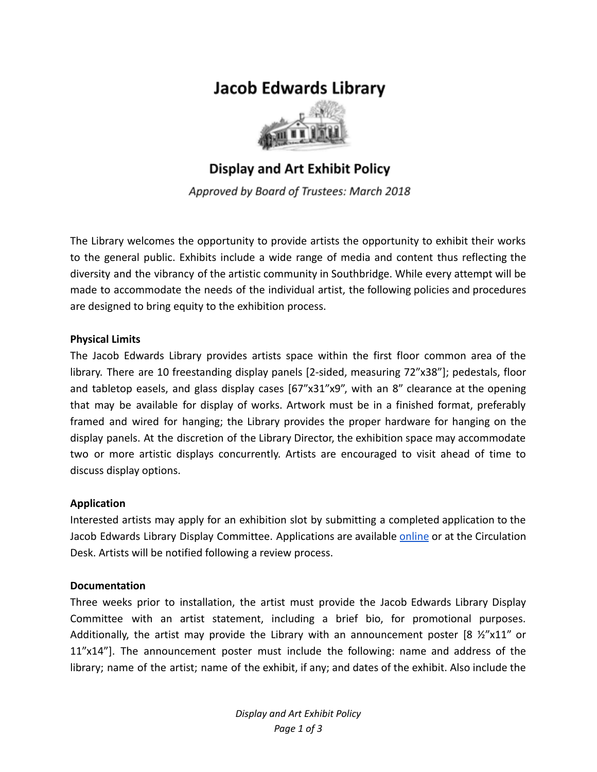# **Jacob Edwards Library**



**Display and Art Exhibit Policy** 

Approved by Board of Trustees: March 2018

The Library welcomes the opportunity to provide artists the opportunity to exhibit their works to the general public. Exhibits include a wide range of media and content thus reflecting the diversity and the vibrancy of the artistic community in Southbridge. While every attempt will be made to accommodate the needs of the individual artist, the following policies and procedures are designed to bring equity to the exhibition process.

## **Physical Limits**

The Jacob Edwards Library provides artists space within the first floor common area of the library. There are 10 freestanding display panels [2-sided, measuring 72"x38"]; pedestals, floor and tabletop easels, and glass display cases [67"x31"x9", with an 8" clearance at the opening that may be available for display of works. Artwork must be in a finished format, preferably framed and wired for hanging; the Library provides the proper hardware for hanging on the display panels. At the discretion of the Library Director, the exhibition space may accommodate two or more artistic displays concurrently. Artists are encouraged to visit ahead of time to discuss display options.

## **Application**

Interested artists may apply for an exhibition slot by submitting a completed application to the Jacob Edwards Library Display Committee. Applications are available [online](http://www.jacobedwardslibrary.org/displays.htm) or at the Circulation Desk. Artists will be notified following a review process.

#### **Documentation**

Three weeks prior to installation, the artist must provide the Jacob Edwards Library Display Committee with an artist statement, including a brief bio, for promotional purposes. Additionally, the artist may provide the Library with an announcement poster [8  $\frac{1}{2}$  x 11" or 11"x14"]. The announcement poster must include the following: name and address of the library; name of the artist; name of the exhibit, if any; and dates of the exhibit. Also include the

> *Display and Art Exhibit Policy Page 1 of 3*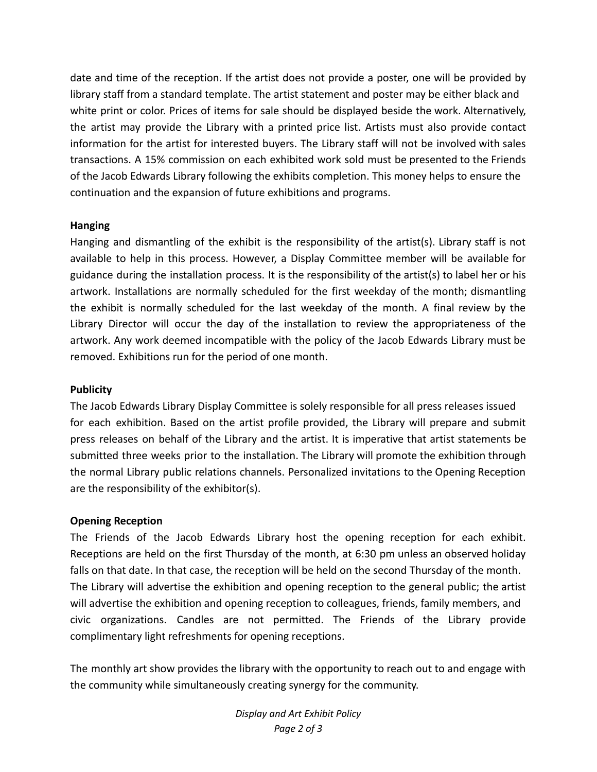date and time of the reception. If the artist does not provide a poster, one will be provided by library staff from a standard template. The artist statement and poster may be either black and white print or color. Prices of items for sale should be displayed beside the work. Alternatively, the artist may provide the Library with a printed price list. Artists must also provide contact information for the artist for interested buyers. The Library staff will not be involved with sales transactions. A 15% commission on each exhibited work sold must be presented to the Friends of the Jacob Edwards Library following the exhibits completion. This money helps to ensure the continuation and the expansion of future exhibitions and programs.

## **Hanging**

Hanging and dismantling of the exhibit is the responsibility of the artist(s). Library staff is not available to help in this process. However, a Display Committee member will be available for guidance during the installation process. It is the responsibility of the artist(s) to label her or his artwork. Installations are normally scheduled for the first weekday of the month; dismantling the exhibit is normally scheduled for the last weekday of the month. A final review by the Library Director will occur the day of the installation to review the appropriateness of the artwork. Any work deemed incompatible with the policy of the Jacob Edwards Library must be removed. Exhibitions run for the period of one month.

#### **Publicity**

The Jacob Edwards Library Display Committee is solely responsible for all press releases issued for each exhibition. Based on the artist profile provided, the Library will prepare and submit press releases on behalf of the Library and the artist. It is imperative that artist statements be submitted three weeks prior to the installation. The Library will promote the exhibition through the normal Library public relations channels. Personalized invitations to the Opening Reception are the responsibility of the exhibitor(s).

#### **Opening Reception**

The Friends of the Jacob Edwards Library host the opening reception for each exhibit. Receptions are held on the first Thursday of the month, at 6:30 pm unless an observed holiday falls on that date. In that case, the reception will be held on the second Thursday of the month. The Library will advertise the exhibition and opening reception to the general public; the artist will advertise the exhibition and opening reception to colleagues, friends, family members, and civic organizations. Candles are not permitted. The Friends of the Library provide complimentary light refreshments for opening receptions.

The monthly art show provides the library with the opportunity to reach out to and engage with the community while simultaneously creating synergy for the community.

> *Display and Art Exhibit Policy Page 2 of 3*